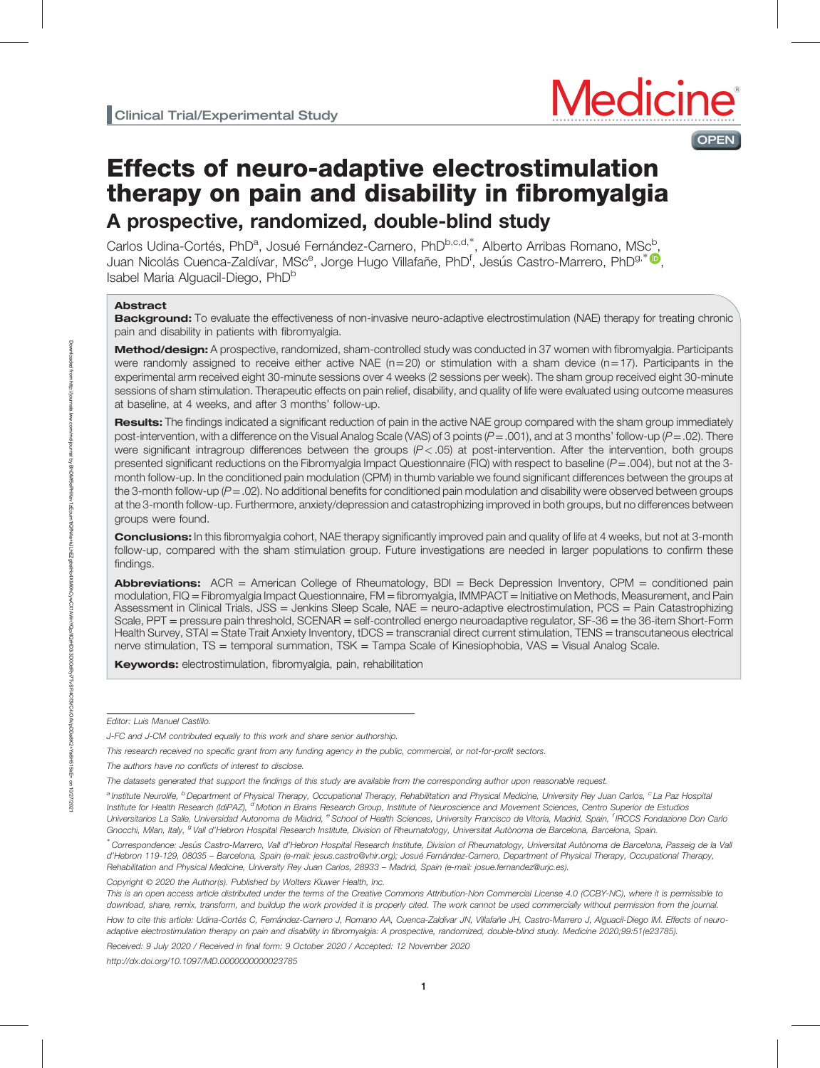

# Effects of neuro-adaptive electrostimulation therapy on pain and disability in fibromyalgia A prospective, randomized, double-blind study

Carlos Udina-Cortés, PhD<sup>a</sup>, Josué Fernández-Carnero, PhD<sup>b,[c](https://orcid.org/0000-0002-2481-3052),d,\*</sup>, Alberto Arribas Romano, MSc<sup>b</sup>, Juan Nicolás Cuenca-Zaldívar, MSc<sup>e</sup>, Jorge Hugo Villafañe, PhD<sup>f</sup>, Jesús Castro-Marrero, PhD<sup>g,∗</sup> (D<sub>,</sub> Isabel Maria Alguacil-Diego, PhD<sup>b</sup>

### Abstract

Background: To evaluate the effectiveness of non-invasive neuro-adaptive electrostimulation (NAE) therapy for treating chronic pain and disability in patients with fibromyalgia.

Method/design: A prospective, randomized, sham-controlled study was conducted in 37 women with fibromyalgia. Participants were randomly assigned to receive either active NAE ( $n=20$ ) or stimulation with a sham device ( $n=17$ ). Participants in the experimental arm received eight 30-minute sessions over 4 weeks (2 sessions per week). The sham group received eight 30-minute sessions of sham stimulation. Therapeutic effects on pain relief, disability, and quality of life were evaluated using outcome measures at baseline, at 4 weeks, and after 3 months' follow-up.

Results: The findings indicated a significant reduction of pain in the active NAE group compared with the sham group immediately post-intervention, with a difference on the Visual Analog Scale (VAS) of 3 points  $(P=.001)$ , and at 3 months' follow-up  $(P=.02)$ . There were significant intragroup differences between the groups  $(P < .05)$  at post-intervention. After the intervention, both groups presented significant reductions on the Fibromyalgia Impact Questionnaire (FIQ) with respect to baseline ( $P = .004$ ), but not at the 3month follow-up. In the conditioned pain modulation (CPM) in thumb variable we found significant differences between the groups at the 3-month follow-up  $(P=.02)$ . No additional benefits for conditioned pain modulation and disability were observed between groups at the 3-month follow-up. Furthermore, anxiety/depression and catastrophizing improved in both groups, but no differences between groups were found.

Conclusions: In this fibromyalgia cohort, NAE therapy significantly improved pain and quality of life at 4 weeks, but not at 3-month follow-up, compared with the sham stimulation group. Future investigations are needed in larger populations to confirm these findings.

Abbreviations: ACR = American College of Rheumatology, BDI = Beck Depression Inventory, CPM = conditioned pain modulation, FIQ = Fibromyalgia Impact Questionnaire, FM = fibromyalgia, IMMPACT = Initiative on Methods, Measurement, and Pain Assessment in Clinical Trials, JSS = Jenkins Sleep Scale, NAE = neuro-adaptive electrostimulation, PCS = Pain Catastrophizing Scale, PPT = pressure pain threshold, SCENAR = self-controlled energo neuroadaptive regulator, SF-36 = the 36-item Short-Form Health Survey, STAI = State Trait Anxiety Inventory, tDCS = transcranial direct current stimulation, TENS = transcutaneous electrical nerve stimulation, TS = temporal summation, TSK = Tampa Scale of Kinesiophobia, VAS = Visual Analog Scale.

Keywords: electrostimulation, fibromyalgia, pain, rehabilitation

Editor: Luis Manuel Castillo.

J-FC and J-CM contributed equally to this work and share senior authorship.

Copyright © 2020 the Author(s). Published by Wolters Kluwer Health, Inc.

How to cite this article: Udina-Cortés C, Fernández-Carnero J, Romano AA, Cuenca-Zaldívar JN, Villafañe JH, Castro-Marrero J, Alguacil-Diego IM. Effects of neuroadaptive electrostimulation therapy on pain and disability in fibromyalgia: A prospective, randomized, double-blind study. Medicine 2020;99:51(e23785).

Received: 9 July 2020 / Received in final form: 9 October 2020 / Accepted: 12 November 2020

<http://dx.doi.org/10.1097/MD.0000000000023785>

This research received no specific grant from any funding agency in the public, commercial, or not-for-profit sectors.

The authors have no conflicts of interest to disclose.

The datasets generated that support the findings of this study are available from the corresponding author upon reasonable request.

a Institute Neurolife, <sup>b</sup> Department of Physical Therapy, Occupational Therapy, Rehabilitation and Physical Medicine, University Rey Juan Carlos, <sup>c</sup> La Paz Hospital Institute for Health Research (IdiPAZ), <sup>d</sup> Motion in Brains Research Group, Institute of Neuroscience and Movement Sciences, Centro Superior de Estudios Universitarios La Salle, Universidad Autonoma de Madrid, <sup>e</sup> School of Health Sciences, University Francisco de Vitoria, Madrid, Spain, <sup>f</sup> IRCCS Fondazione Don Carlo Gnocchi, Milan, Italy, <sup>g</sup> Vall d'Hebron Hospital Research Institute, Division of Rheumatology, Universitat Autònoma de Barcelona, Barcelona, Spain.

<sup>∗</sup> Correspondence: Jesus Castro-Marrero, Vall d 'Hebron Hospital Research Institute, Division of Rheumatology, Universitat Autònoma de Barcelona, Passeig de la Vall d'Hebron 119-129, 08035 – Barcelona, Spain (e-mail: [jesus.castro@vhir.org](mailto:jesus.castro@vhir.org)); Josué Fernández-Carnero, Department of Physical Therapy, Occupational Therapy, Rehabilitation and Physical Medicine, University Rey Juan Carlos, 28933 – Madrid, Spain (e-mail: [josue.fernandez@urjc.es\)](mailto:josue.fernandez@urjc.es).

This is an open access article distributed under the terms of the [Creative Commons Attribution-Non Commercial License 4.0](http://creativecommons.org/licenses/by-nc/4.0) (CCBY-NC), where it is permissible to download, share, remix, transform, and buildup the work provided it is properly cited. The work cannot be used commercially without permission from the journal.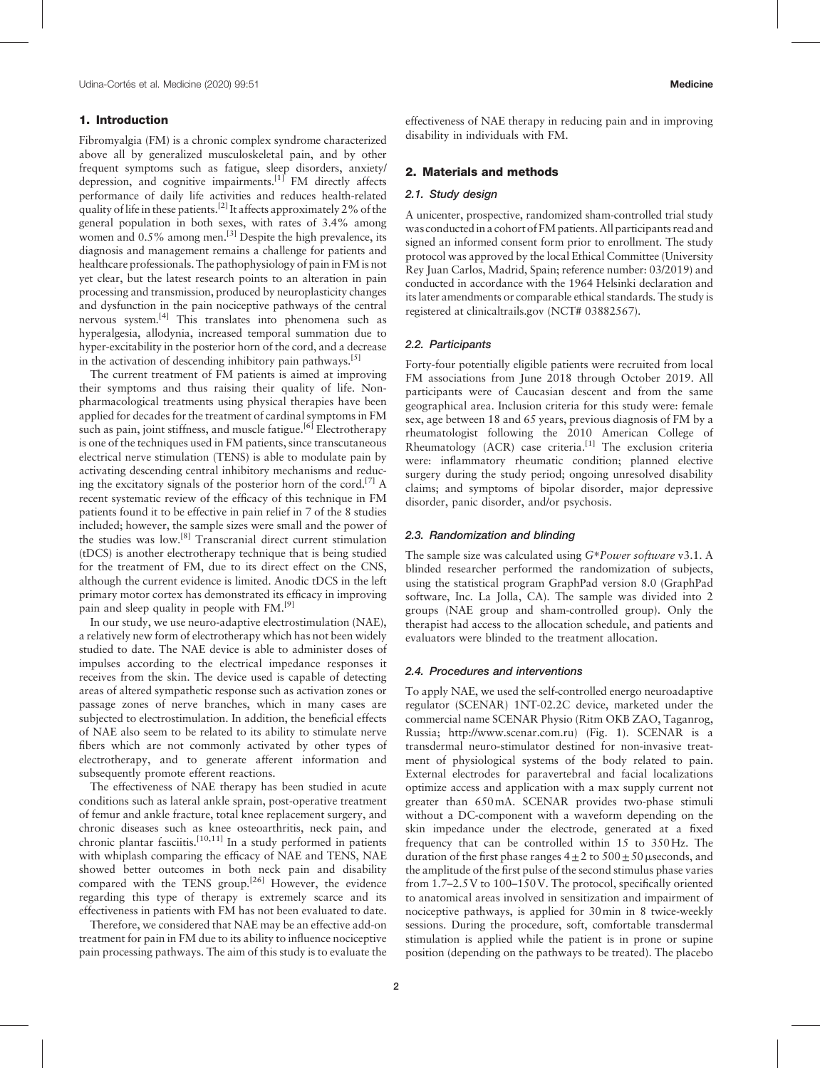# 1. Introduction

Fibromyalgia (FM) is a chronic complex syndrome characterized above all by generalized musculoskeletal pain, and by other frequent symptoms such as fatigue, sleep disorders, anxiety/ depression, and cognitive impairments.<sup>[1]</sup> FM directly affects performance of daily life activities and reduces health-related quality of life in these patients.<sup>[2]</sup> It affects approximately 2% of the general population in both sexes, with rates of 3.4% among women and 0.5% among men.<sup>[3]</sup> Despite the high prevalence, its diagnosis and management remains a challenge for patients and healthcare professionals. The pathophysiology of pain in FM is not yet clear, but the latest research points to an alteration in pain processing and transmission, produced by neuroplasticity changes and dysfunction in the pain nociceptive pathways of the central nervous system.[4] This translates into phenomena such as hyperalgesia, allodynia, increased temporal summation due to hyper-excitability in the posterior horn of the cord, and a decrease in the activation of descending inhibitory pain pathways.<sup>[5]</sup>

The current treatment of FM patients is aimed at improving their symptoms and thus raising their quality of life. Nonpharmacological treatments using physical therapies have been applied for decades for the treatment of cardinal symptoms in FM such as pain, joint stiffness, and muscle fatigue.<sup>[6]</sup> Electrotherapy is one of the techniques used in FM patients, since transcutaneous electrical nerve stimulation (TENS) is able to modulate pain by activating descending central inhibitory mechanisms and reducing the excitatory signals of the posterior horn of the cord.<sup>[7]</sup> A recent systematic review of the efficacy of this technique in FM patients found it to be effective in pain relief in 7 of the 8 studies included; however, the sample sizes were small and the power of the studies was low.[8] Transcranial direct current stimulation (tDCS) is another electrotherapy technique that is being studied for the treatment of FM, due to its direct effect on the CNS, although the current evidence is limited. Anodic tDCS in the left primary motor cortex has demonstrated its efficacy in improving pain and sleep quality in people with FM.<sup>[9]</sup>

In our study, we use neuro-adaptive electrostimulation (NAE), a relatively new form of electrotherapy which has not been widely studied to date. The NAE device is able to administer doses of impulses according to the electrical impedance responses it receives from the skin. The device used is capable of detecting areas of altered sympathetic response such as activation zones or passage zones of nerve branches, which in many cases are subjected to electrostimulation. In addition, the beneficial effects of NAE also seem to be related to its ability to stimulate nerve fibers which are not commonly activated by other types of electrotherapy, and to generate afferent information and subsequently promote efferent reactions.

The effectiveness of NAE therapy has been studied in acute conditions such as lateral ankle sprain, post-operative treatment of femur and ankle fracture, total knee replacement surgery, and chronic diseases such as knee osteoarthritis, neck pain, and chronic plantar fasciitis.<sup>[10,11]</sup> In a study performed in patients with whiplash comparing the efficacy of NAE and TENS, NAE showed better outcomes in both neck pain and disability compared with the TENS group.<sup>[26]</sup> However, the evidence regarding this type of therapy is extremely scarce and its effectiveness in patients with FM has not been evaluated to date.

Therefore, we considered that NAE may be an effective add-on treatment for pain in FM due to its ability to influence nociceptive pain processing pathways. The aim of this study is to evaluate the effectiveness of NAE therapy in reducing pain and in improving disability in individuals with FM.

#### 2. Materials and methods

## 2.1. Study design

A unicenter, prospective, randomized sham-controlled trial study was conducted in a cohort of FM patients. All participants read and signed an informed consent form prior to enrollment. The study protocol was approved by the local Ethical Committee (University Rey Juan Carlos, Madrid, Spain; reference number: 03/2019) and conducted in accordance with the 1964 Helsinki declaration and its later amendments or comparable ethical standards. The study is registered at clinicaltrails.gov (NCT# 03882567).

### 2.2. Participants

Forty-four potentially eligible patients were recruited from local FM associations from June 2018 through October 2019. All participants were of Caucasian descent and from the same geographical area. Inclusion criteria for this study were: female sex, age between 18 and 65 years, previous diagnosis of FM by a rheumatologist following the 2010 American College of Rheumatology (ACR) case criteria.<sup>[1]</sup> The exclusion criteria were: inflammatory rheumatic condition; planned elective surgery during the study period; ongoing unresolved disability claims; and symptoms of bipolar disorder, major depressive disorder, panic disorder, and/or psychosis.

## 2.3. Randomization and blinding

The sample size was calculated using G∗Power software v3.1. A blinded researcher performed the randomization of subjects, using the statistical program GraphPad version 8.0 (GraphPad software, Inc. La Jolla, CA). The sample was divided into 2 groups (NAE group and sham-controlled group). Only the therapist had access to the allocation schedule, and patients and evaluators were blinded to the treatment allocation.

#### 2.4. Procedures and interventions

To apply NAE, we used the self-controlled energo neuroadaptive regulator (SCENAR) 1NT-02.2C device, marketed under the commercial name SCENAR Physio (Ritm OKB ZAO, Taganrog, Russia; [http://www.scenar.com.ru\)](http://www.scenar.com.ru/) (Fig. 1). SCENAR is a transdermal neuro-stimulator destined for non-invasive treatment of physiological systems of the body related to pain. External electrodes for paravertebral and facial localizations optimize access and application with a max supply current not greater than 650mA. SCENAR provides two-phase stimuli without a DC-component with a waveform depending on the skin impedance under the electrode, generated at a fixed frequency that can be controlled within 15 to 350Hz. The duration of the first phase ranges  $4 \pm 2$  to  $500 \pm 50$  µ seconds, and the amplitude of the first pulse of the second stimulus phase varies from 1.7–2.5 V to 100–150 V. The protocol, specifically oriented to anatomical areas involved in sensitization and impairment of nociceptive pathways, is applied for 30min in 8 twice-weekly sessions. During the procedure, soft, comfortable transdermal stimulation is applied while the patient is in prone or supine position (depending on the pathways to be treated). The placebo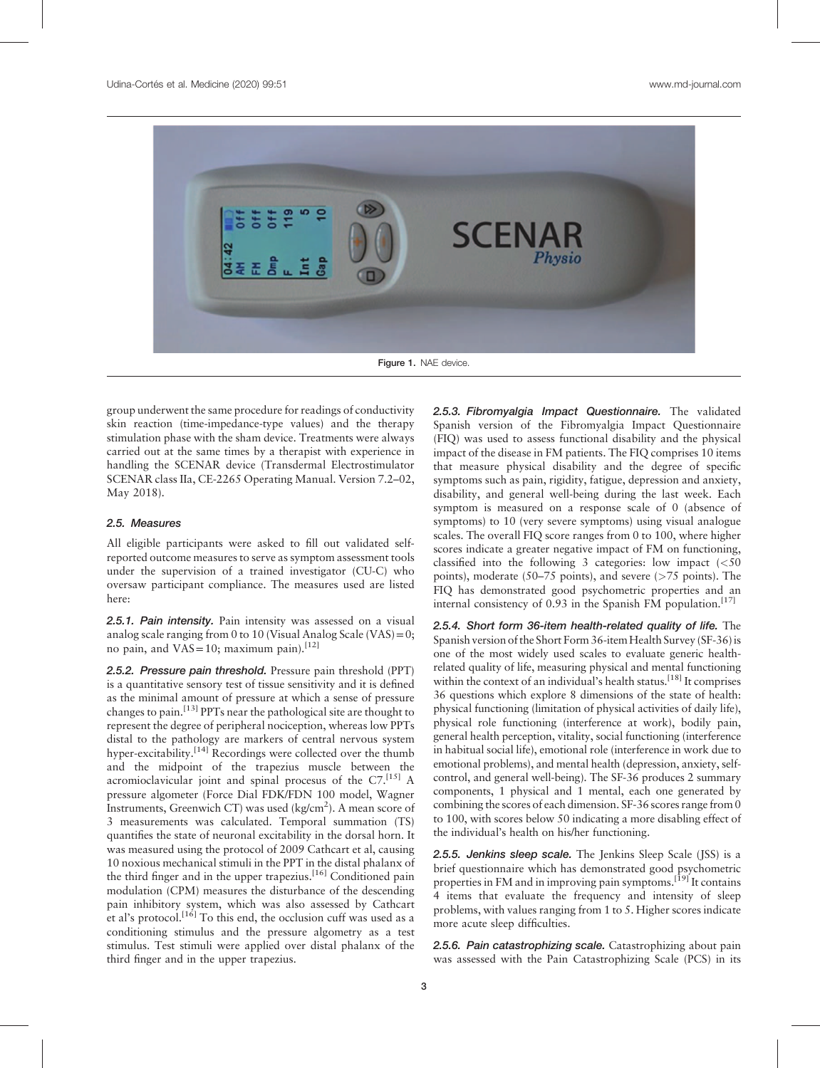

Figure 1. NAE device.

group underwent the same procedure for readings of conductivity skin reaction (time-impedance-type values) and the therapy stimulation phase with the sham device. Treatments were always carried out at the same times by a therapist with experience in handling the SCENAR device (Transdermal Electrostimulator SCENAR class IIa, CE-2265 Operating Manual. Version 7.2–02, May 2018).

## 2.5. Measures

All eligible participants were asked to fill out validated selfreported outcome measures to serve as symptom assessment tools under the supervision of a trained investigator (CU-C) who oversaw participant compliance. The measures used are listed here:

2.5.1. Pain intensity. Pain intensity was assessed on a visual analog scale ranging from 0 to 10 (Visual Analog Scale (VAS) =  $0$ ; no pain, and  $VAS = 10$ ; maximum pain).<sup>[12]</sup>

2.5.2. Pressure pain threshold. Pressure pain threshold (PPT) is a quantitative sensory test of tissue sensitivity and it is defined as the minimal amount of pressure at which a sense of pressure changes to pain.  $^{[13]}$  PPTs near the pathological site are thought to represent the degree of peripheral nociception, whereas low PPTs distal to the pathology are markers of central nervous system hyper-excitability.<sup>[14]</sup> Recordings were collected over the thumb and the midpoint of the trapezius muscle between the acromioclavicular joint and spinal procesus of the C7.<sup>[15]</sup> A pressure algometer (Force Dial FDK/FDN 100 model, Wagner Instruments, Greenwich CT) was used (kg/cm<sup>2</sup>). A mean score of 3 measurements was calculated. Temporal summation (TS) quantifies the state of neuronal excitability in the dorsal horn. It was measured using the protocol of 2009 Cathcart et al, causing 10 noxious mechanical stimuli in the PPT in the distal phalanx of the third finger and in the upper trapezius.<sup>[16]</sup> Conditioned pain modulation (CPM) measures the disturbance of the descending pain inhibitory system, which was also assessed by Cathcart et al's protocol.<sup>[16]</sup> To this end, the occlusion cuff was used as a conditioning stimulus and the pressure algometry as a test stimulus. Test stimuli were applied over distal phalanx of the third finger and in the upper trapezius.

2.5.3. Fibromyalgia Impact Questionnaire. The validated Spanish version of the Fibromyalgia Impact Questionnaire (FIQ) was used to assess functional disability and the physical impact of the disease in FM patients. The FIQ comprises 10 items that measure physical disability and the degree of specific symptoms such as pain, rigidity, fatigue, depression and anxiety, disability, and general well-being during the last week. Each symptom is measured on a response scale of 0 (absence of symptoms) to 10 (very severe symptoms) using visual analogue scales. The overall FIQ score ranges from 0 to 100, where higher scores indicate a greater negative impact of FM on functioning, classified into the following 3 categories: low impact  $\langle \langle 50 \rangle$ points), moderate (50–75 points), and severe ( $>75$  points). The FIQ has demonstrated good psychometric properties and an internal consistency of 0.93 in the Spanish FM population.<sup>[17]</sup>

2.5.4. Short form 36-item health-related quality of life. The Spanish version of the Short Form 36-item Health Survey (SF-36) is one of the most widely used scales to evaluate generic healthrelated quality of life, measuring physical and mental functioning within the context of an individual's health status.<sup>[18]</sup> It comprises 36 questions which explore 8 dimensions of the state of health: physical functioning (limitation of physical activities of daily life), physical role functioning (interference at work), bodily pain, general health perception, vitality, social functioning (interference in habitual social life), emotional role (interference in work due to emotional problems), and mental health (depression, anxiety, selfcontrol, and general well-being). The SF-36 produces 2 summary components, 1 physical and 1 mental, each one generated by combining the scores of each dimension. SF-36 scores range from 0 to 100, with scores below 50 indicating a more disabling effect of the individual's health on his/her functioning.

2.5.5. Jenkins sleep scale. The Jenkins Sleep Scale (JSS) is a brief questionnaire which has demonstrated good psychometric properties in FM and in improving pain symptoms.<sup>[19]</sup> It contains 4 items that evaluate the frequency and intensity of sleep problems, with values ranging from 1 to 5. Higher scores indicate more acute sleep difficulties.

2.5.6. Pain catastrophizing scale. Catastrophizing about pain was assessed with the Pain Catastrophizing Scale (PCS) in its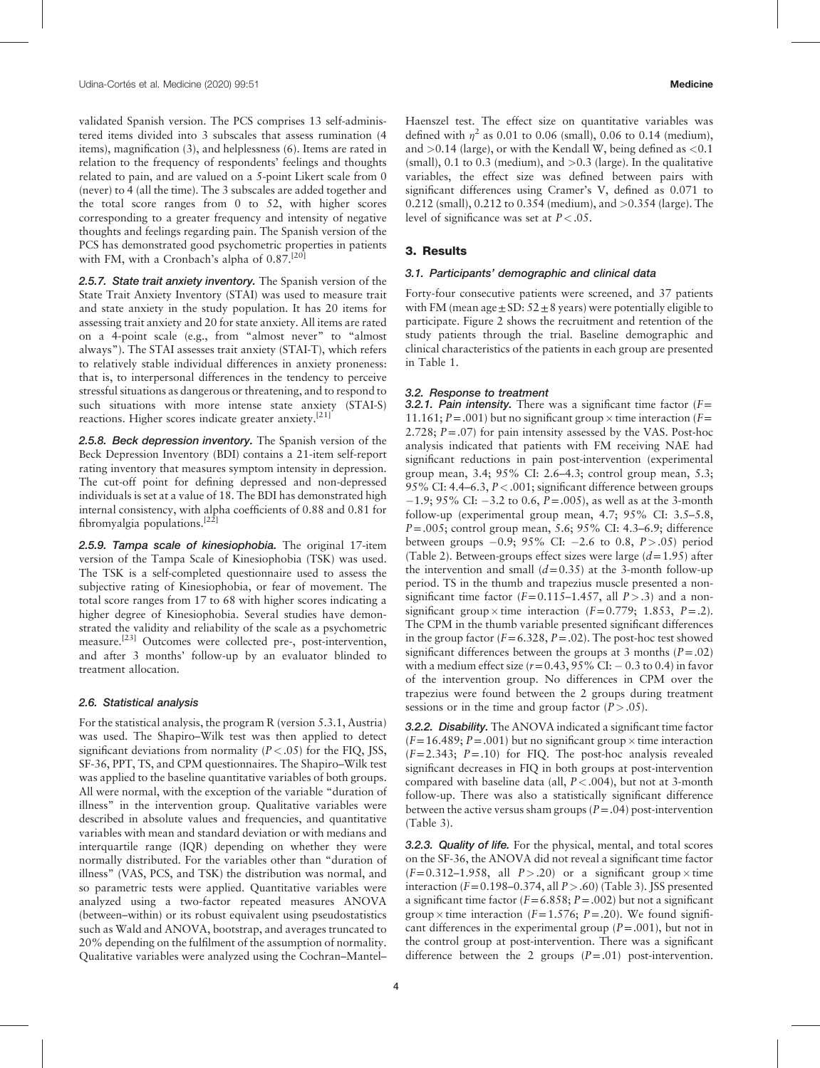validated Spanish version. The PCS comprises 13 self-administered items divided into 3 subscales that assess rumination (4 items), magnification (3), and helplessness (6). Items are rated in relation to the frequency of respondents' feelings and thoughts related to pain, and are valued on a 5-point Likert scale from 0 (never) to 4 (all the time). The 3 subscales are added together and the total score ranges from 0 to 52, with higher scores corresponding to a greater frequency and intensity of negative thoughts and feelings regarding pain. The Spanish version of the PCS has demonstrated good psychometric properties in patients with FM, with a Cronbach's alpha of  $0.87$ .<sup>[20]</sup>

2.5.7. State trait anxiety inventory. The Spanish version of the State Trait Anxiety Inventory (STAI) was used to measure trait and state anxiety in the study population. It has 20 items for assessing trait anxiety and 20 for state anxiety. All items are rated on a 4-point scale (e.g., from "almost never" to "almost always"). The STAI assesses trait anxiety (STAI-T), which refers to relatively stable individual differences in anxiety proneness: that is, to interpersonal differences in the tendency to perceive stressful situations as dangerous or threatening, and to respond to such situations with more intense state anxiety (STAI-S) reactions. Higher scores indicate greater anxiety.<sup>[21]</sup>

2.5.8. Beck depression inventory. The Spanish version of the Beck Depression Inventory (BDI) contains a 21-item self-report rating inventory that measures symptom intensity in depression. The cut-off point for defining depressed and non-depressed individuals is set at a value of 18. The BDI has demonstrated high internal consistency, with alpha coefficients of 0.88 and 0.81 for fibromyalgia populations.<sup>[22]</sup>

2.5.9. Tampa scale of kinesiophobia. The original 17-item version of the Tampa Scale of Kinesiophobia (TSK) was used. The TSK is a self-completed questionnaire used to assess the subjective rating of Kinesiophobia, or fear of movement. The total score ranges from 17 to 68 with higher scores indicating a higher degree of Kinesiophobia. Several studies have demonstrated the validity and reliability of the scale as a psychometric measure.<sup>[23]</sup> Outcomes were collected pre-, post-intervention, and after 3 months' follow-up by an evaluator blinded to treatment allocation.

#### 2.6. Statistical analysis

For the statistical analysis, the program R (version 5.3.1, Austria) was used. The Shapiro–Wilk test was then applied to detect significant deviations from normality  $(P < .05)$  for the FIQ, JSS, SF-36, PPT, TS, and CPM questionnaires. The Shapiro–Wilk test was applied to the baseline quantitative variables of both groups. All were normal, with the exception of the variable "duration of illness" in the intervention group. Qualitative variables were described in absolute values and frequencies, and quantitative variables with mean and standard deviation or with medians and interquartile range (IQR) depending on whether they were normally distributed. For the variables other than "duration of illness" (VAS, PCS, and TSK) the distribution was normal, and so parametric tests were applied. Quantitative variables were analyzed using a two-factor repeated measures ANOVA (between–within) or its robust equivalent using pseudostatistics such as Wald and ANOVA, bootstrap, and averages truncated to 20% depending on the fulfilment of the assumption of normality. Qualitative variables were analyzed using the Cochran–Mantel–

Haenszel test. The effect size on quantitative variables was defined with  $\eta^2$  as 0.01 to 0.06 (small), 0.06 to 0.14 (medium), and  $>0.14$  (large), or with the Kendall W, being defined as  $< 0.1$ (small), 0.1 to 0.3 (medium), and  $> 0.3$  (large). In the qualitative variables, the effect size was defined between pairs with significant differences using Cramer's V, defined as 0.071 to 0.212 (small), 0.212 to 0.354 (medium), and >0.354 (large). The level of significance was set at  $P < .05$ .

### 3. Results

#### 3.1. Participants' demographic and clinical data

Forty-four consecutive patients were screened, and 37 patients with FM (mean age  $\pm$  SD: 52 $\pm$ 8 years) were potentially eligible to participate. Figure 2 shows the recruitment and retention of the study patients through the trial. Baseline demographic and clinical characteristics of the patients in each group are presented in Table 1.

#### 3.2. Response to treatment

**3.2.1. Pain intensity.** There was a significant time factor  $(F =$ 11.161;  $P = .001$ ) but no significant group  $\times$  time interaction ( $F =$ 2.728;  $P = .07$ ) for pain intensity assessed by the VAS. Post-hoc analysis indicated that patients with FM receiving NAE had significant reductions in pain post-intervention (experimental group mean, 3.4; 95% CI: 2.6–4.3; control group mean, 5.3; 95% CI: 4.4–6.3, P<.001; significant difference between groups  $-1.9$ ; 95% CI:  $-3.2$  to 0.6, P = 0.05), as well as at the 3-month follow-up (experimental group mean, 4.7; 95% CI: 3.5–5.8,  $P = .005$ ; control group mean, 5.6; 95% CI: 4.3–6.9; difference between groups  $-0.9$ ; 95% CI:  $-2.6$  to 0.8,  $P > .05$ ) period (Table 2). Between-groups effect sizes were large  $(d=1.95)$  after the intervention and small  $(d=0.35)$  at the 3-month follow-up period. TS in the thumb and trapezius muscle presented a nonsignificant time factor  $(F=0.115-1.457,$  all  $P>0.3)$  and a nonsignificant group  $\times$  time interaction (F=0.779; 1.853, P=.2). The CPM in the thumb variable presented significant differences in the group factor  $(F=6.328, P=.02)$ . The post-hoc test showed significant differences between the groups at 3 months  $(P=.02)$ with a medium effect size  $(r=0.43, 95\% \text{ CI}$ :  $-0.3$  to 0.4) in favor of the intervention group. No differences in CPM over the trapezius were found between the 2 groups during treatment sessions or in the time and group factor  $(P > .05)$ .

3.2.2. Disability. The ANOVA indicated a significant time factor  $(F=16.489; P=.001)$  but no significant group  $\times$  time interaction  $(F=2.343; P=.10)$  for FIQ. The post-hoc analysis revealed significant decreases in FIQ in both groups at post-intervention compared with baseline data (all,  $P < .004$ ), but not at 3-month follow-up. There was also a statistically significant difference between the active versus sham groups ( $P = .04$ ) post-intervention (Table 3).

3.2.3. Quality of life. For the physical, mental, and total scores on the SF-36, the ANOVA did not reveal a significant time factor  $(F=0.312-1.958$ , all  $P > .20$  or a significant group  $\times$  time interaction ( $F=0.198-0.374$ , all  $P > .60$ ) (Table 3). JSS presented a significant time factor ( $F=6.858; P=.002$ ) but not a significant group  $\times$  time interaction (F=1.576; P=.20). We found significant differences in the experimental group  $(P=.001)$ , but not in the control group at post-intervention. There was a significant difference between the 2 groups  $(P=.01)$  post-intervention.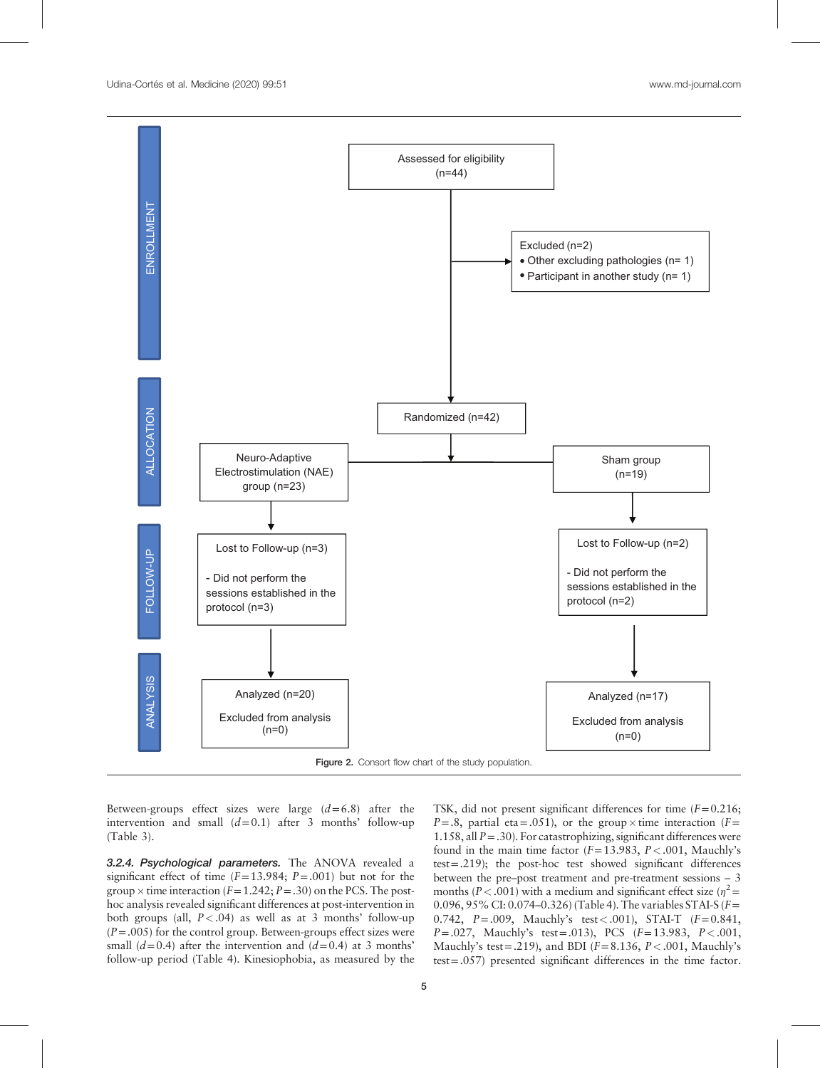

Between-groups effect sizes were large  $(d=6.8)$  after the intervention and small  $(d=0.1)$  after 3 months' follow-up (Table 3).

3.2.4. Psychological parameters. The ANOVA revealed a significant effect of time  $(F=13.984; P=.001)$  but not for the group  $\times$  time interaction (F=1.242; P=.30) on the PCS. The posthoc analysis revealed significant differences at post-intervention in both groups (all,  $P < .04$ ) as well as at 3 months' follow-up  $(P=.005)$  for the control group. Between-groups effect sizes were small  $(d=0.4)$  after the intervention and  $(d=0.4)$  at 3 months' follow-up period (Table 4). Kinesiophobia, as measured by the

TSK, did not present significant differences for time  $(F=0.216;$  $P=.8$ , partial eta = 0.051), or the group  $\times$  time interaction (F= 1.158, all  $P = .30$ ). For catastrophizing, significant differences were found in the main time factor  $(F=13.983, P<.001,$  Mauchly's test=.219); the post-hoc test showed significant differences between the pre–post treatment and pre-treatment sessions – 3 months (P < .001) with a medium and significant effect size ( $\eta^2$  = 0.096, 95% CI: 0.074–0.326) (Table 4). The variables STAI-S (F= 0.742,  $P = .009$ , Mauchly's test < .001), STAI-T ( $F = 0.841$ ,  $P = .027$ , Mauchly's test = .013), PCS ( $F = 13.983$ ,  $P < .001$ , Mauchly's test = .219), and BDI ( $F=8.136$ ,  $P<.001$ , Mauchly's test=.057) presented significant differences in the time factor.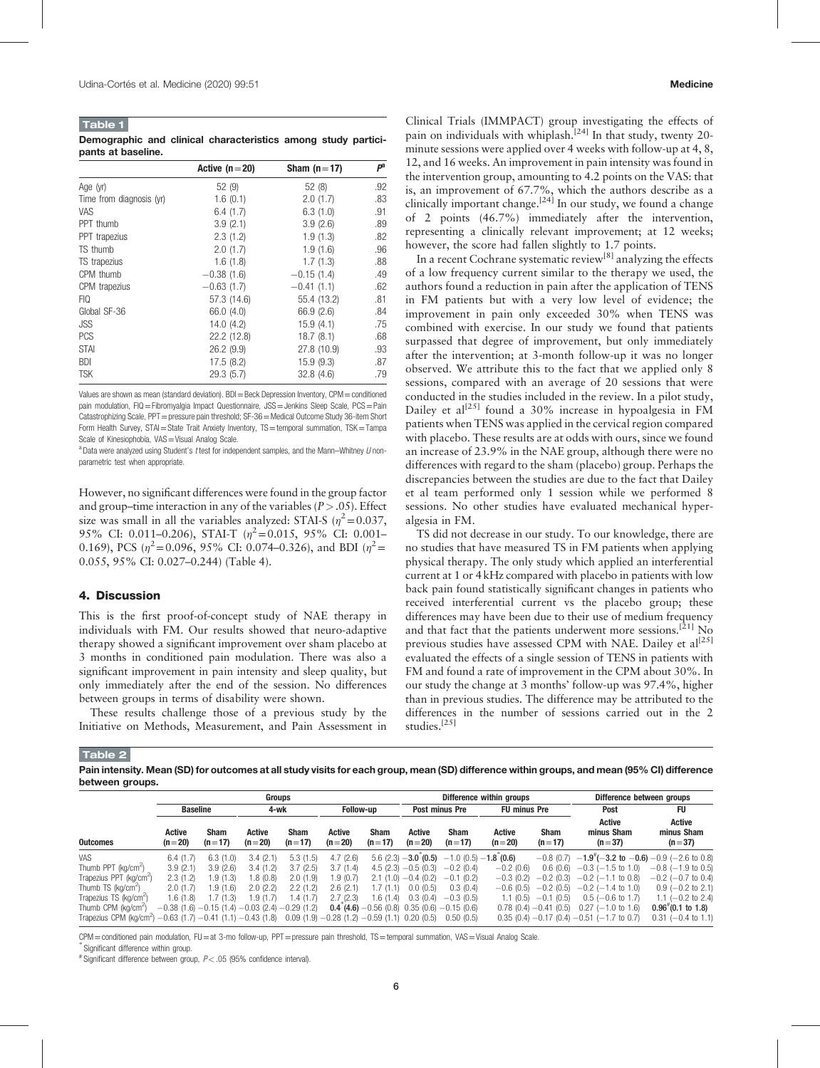| <b>Table 1</b>     |  |                                                               |  |  |
|--------------------|--|---------------------------------------------------------------|--|--|
|                    |  | Demographic and clinical characteristics among study partici- |  |  |
| pants at baseline. |  |                                                               |  |  |

|                          | Active $(n=20)$ | Sham $(n=17)$ | $P^{a}$ |
|--------------------------|-----------------|---------------|---------|
| Age (yr)                 | 52(9)           | 52(8)         | .92     |
| Time from diagnosis (yr) | 1.6(0.1)        | 2.0(1.7)      | .83     |
| VAS                      | 6.4(1.7)        | 6.3(1.0)      | .91     |
| PPT thumb                | 3.9(2.1)        | 3.9(2.6)      | .89     |
| PPT trapezius            | 2.3(1.2)        | 1.9(1.3)      | .82     |
| TS thumb                 | 2.0(1.7)        | 1.9(1.6)      | .96     |
| TS trapezius             | 1.6(1.8)        | 1.7(1.3)      | .88     |
| CPM thumb                | $-0.38(1.6)$    | $-0.15(1.4)$  | .49     |
| CPM trapezius            | $-0.63(1.7)$    | $-0.41(1.1)$  | .62     |
| FIQ                      | 57.3 (14.6)     | 55.4 (13.2)   | .81     |
| Global SF-36             | 66.0 (4.0)      | 66.9 (2.6)    | .84     |
| JSS                      | 14.0(4.2)       | 15.9(4.1)     | .75     |
| <b>PCS</b>               | 22.2 (12.8)     | 18.7(8.1)     | .68     |
| <b>STAI</b>              | 26.2(9.9)       | 27.8 (10.9)   | .93     |
| <b>BDI</b>               | 17.5(8.2)       | 15.9(9.3)     | .87     |
| <b>TSK</b>               | 29.3(5.7)       | 32.8(4.6)     | .79     |

Values are shown as mean (standard deviation). BDI=Beck Depression Inventory, CPM=conditioned pain modulation, FIQ=Fibromyalgia Impact Questionnaire, JSS=Jenkins Sleep Scale, PCS=Pain Catastrophizing Scale, PPT = pressure pain threshold; SF-36 = Medical Outcome Study 36-item Short Form Health Survey, STAI=State Trait Anxiety Inventory, TS=temporal summation, TSK=Tampa Scale of Kinesiophobia, VAS=Visual Analog Scale.

 $^{\text{a}}$  Data were analyzed using Student's t test for independent samples, and the Mann–Whitney  $U$  nonparametric test when appropriate.

However, no significant differences were found in the group factor and group–time interaction in any of the variables ( $P > .05$ ). Effect size was small in all the variables analyzed: STAI-S ( $n^2$  = 0.037, 95% CI: 0.011-0.206), STAI-T  $(n^2=0.015, 95\%$  CI: 0.001-0.169), PCS ( $n^2$ =0.096, 95% CI: 0.074–0.326), and BDI ( $n^2$ = 0.055, 95% CI: 0.027–0.244) (Table 4).

## 4. Discussion

This is the first proof-of-concept study of NAE therapy in individuals with FM. Our results showed that neuro-adaptive therapy showed a significant improvement over sham placebo at 3 months in conditioned pain modulation. There was also a significant improvement in pain intensity and sleep quality, but only immediately after the end of the session. No differences between groups in terms of disability were shown.

These results challenge those of a previous study by the Initiative on Methods, Measurement, and Pain Assessment in Clinical Trials (IMMPACT) group investigating the effects of pain on individuals with whiplash.<sup>[24]</sup> In that study, twenty 20minute sessions were applied over 4 weeks with follow-up at 4, 8, 12, and 16 weeks. An improvement in pain intensity was found in the intervention group, amounting to 4.2 points on the VAS: that is, an improvement of 67.7%, which the authors describe as a clinically important change.<sup>[24]</sup> In our study, we found a change of 2 points (46.7%) immediately after the intervention, representing a clinically relevant improvement; at 12 weeks; however, the score had fallen slightly to 1.7 points.

In a recent Cochrane systematic review[8] analyzing the effects of a low frequency current similar to the therapy we used, the authors found a reduction in pain after the application of TENS in FM patients but with a very low level of evidence; the improvement in pain only exceeded 30% when TENS was combined with exercise. In our study we found that patients surpassed that degree of improvement, but only immediately after the intervention; at 3-month follow-up it was no longer observed. We attribute this to the fact that we applied only 8 sessions, compared with an average of 20 sessions that were conducted in the studies included in the review. In a pilot study, Dailey et al<sup>[25]</sup> found a 30% increase in hypoalgesia in FM patients when TENS was applied in the cervical region compared with placebo. These results are at odds with ours, since we found an increase of 23.9% in the NAE group, although there were no differences with regard to the sham (placebo) group. Perhaps the discrepancies between the studies are due to the fact that Dailey et al team performed only 1 session while we performed 8 sessions. No other studies have evaluated mechanical hyperalgesia in FM.

TS did not decrease in our study. To our knowledge, there are no studies that have measured TS in FM patients when applying physical therapy. The only study which applied an interferential current at 1 or 4 kHz compared with placebo in patients with low back pain found statistically significant changes in patients who received interferential current vs the placebo group; these differences may have been due to their use of medium frequency and that fact that the patients underwent more sessions.[21] No previous studies have assessed CPM with NAE. Dailey et al<sup>[25]</sup> evaluated the effects of a single session of TENS in patients with FM and found a rate of improvement in the CPM about 30%. In our study the change at 3 months' follow-up was 97.4%, higher than in previous studies. The difference may be attributed to the differences in the number of sessions carried out in the 2 studies.[25]

#### Table 2

Pain intensity. Mean (SD) for outcomes at all study visits for each group, mean (SD) difference within groups, and mean (95% CI) difference between groups.

|                                                                                                                                 |                                                         |                  | Groups             |                  |                    |                         |                           |                                                         | Difference within groups  | Difference between groups |                                                        |                                         |  |
|---------------------------------------------------------------------------------------------------------------------------------|---------------------------------------------------------|------------------|--------------------|------------------|--------------------|-------------------------|---------------------------|---------------------------------------------------------|---------------------------|---------------------------|--------------------------------------------------------|-----------------------------------------|--|
|                                                                                                                                 |                                                         | <b>Baseline</b>  |                    | 4-wk             |                    | <b>Follow-up</b>        |                           | Post minus Pre                                          |                           | <b>FU minus Pre</b>       | Post                                                   | <b>FU</b>                               |  |
| <b>Outcomes</b>                                                                                                                 | Active<br>$(n=20)$                                      | Sham<br>$(n=17)$ | Active<br>$(n=20)$ | Sham<br>$(n=17)$ | Active<br>$(n=20)$ | <b>Sham</b><br>$(n=17)$ | <b>Active</b><br>$(n=20)$ | Sham<br>$(n=17)$                                        | <b>Active</b><br>$(n=20)$ | <b>Sham</b><br>$(n=17)$   | Active<br>minus Sham<br>$(n=37)$                       | <b>Active</b><br>minus Sham<br>$(n=37)$ |  |
| <b>VAS</b>                                                                                                                      | 6.4(1.7)                                                | 6.3(1.0)         | 3.4(2.1)           | 5.3(1.5)         | 4.7(2.6)           |                         | $5.6(2.3) - 3.0(0.5)$     | $-1.0(0.5) - 1.8(0.6)$                                  |                           | $-0.8(0.7)$               | $-1.9^{\pi}(-3.2 \text{ to } -0.6) -0.9$ (-2.6 to 0.8) |                                         |  |
| Thumb PPT (kg/cm <sup>2</sup> )                                                                                                 | 3.9(2.1)                                                | 3.9(2.6)         | 3.4(1.2)           | 3.7(2.5)         | 3.7(1.4)           |                         | $4.5(2.3) -0.5(0.3)$      | $-0.2(0.4)$                                             | $-0.2$ (0.6)              | 0.6(0.6)                  | $-0.3$ ( $-1.5$ to 1.0)                                | $-0.8$ (-1.9 to 0.5)                    |  |
| Trapezius PPT (kg/cm <sup>2</sup> )                                                                                             | 2.3(1.2)                                                | 1.9(1.3)         | .8(0.8)            | 2.0(1.9)         | 1.9(0.7)           |                         | $2.1(1.0) - 0.4(0.2)$     | $-0.1(0.2)$                                             | $-0.3(0.2)$               | $-0.2(0.3)$               | $-0.2$ ( $-1.1$ to 0.8)                                | $-0.2$ (-0.7 to 0.4)                    |  |
| Thumb TS (kg/cm <sup>2</sup> )                                                                                                  | 2.0(1.7)                                                | 1.9 (1.6)        | 2.0(2.2)           | 2.2(1.2)         | 2.6(2.1)           | 1.7 (1.1)               | 0.0(0.5)                  | 0.3(0.4)                                                | $-0.6(0.5)$               | $-0.2(0.5)$               | $-0.2$ (-1.4 to 1.0)                                   | $0.9$ (-0.2 to 2.1)                     |  |
| Trapezius TS (kg/cm <sup>2</sup> )                                                                                              | 1.6 (1.8)                                               | 1.7(1.3)         | 1.9(1.7)           | 1.4(1.7)         | 2.7(2.3)           | 1.6 (1.4)               | 0.3(0.4)                  | $-0.3(0.5)$                                             | 1.1(0.5)                  | $-0.1(0.5)$               | $0.5$ (-0.6 to 1.7)                                    | 1.1 $(-0.2$ to 2.4)                     |  |
| Thumb CPM (ka/cm <sup>2</sup> )                                                                                                 | $-0.38$ (1.6) $-0.15$ (1.4) $-0.03$ (2.4) $-0.29$ (1.2) |                  |                    |                  |                    |                         |                           | <b>0.4 (4.6)</b> $-0.56$ (0.8) 0.35 (0.6) $-0.15$ (0.6) |                           | $0.78(0.4) - 0.41(0.5)$   | $0.27$ (-1.0 to 1.6)                                   | $0.96^{*}(0.1 \text{ to } 1.8)$         |  |
| Trapezius CPM (kg/cm <sup>2</sup> ) $-0.63$ (1.7) $-0.41$ (1.1) $-0.43$ (1.8) 0.09 (1.9) $-0.28$ (1.2) $-0.59$ (1.1) 0.20 (0.5) |                                                         |                  |                    |                  |                    |                         |                           | 0.50(0.5)                                               |                           |                           | $0.35$ (0.4) $-0.17$ (0.4) $-0.51$ ( $-1.7$ to 0.7)    | $0.31$ (-0.4 to 1.1)                    |  |

CPM=conditioned pain modulation, FU=at 3-mo follow-up, PPT=pressure pain threshold, TS=temporal summation, VAS=Visual Analog Scale.

Significant difference within group.

# Significant difference between group,  $P$ < .05 (95% confidence interval).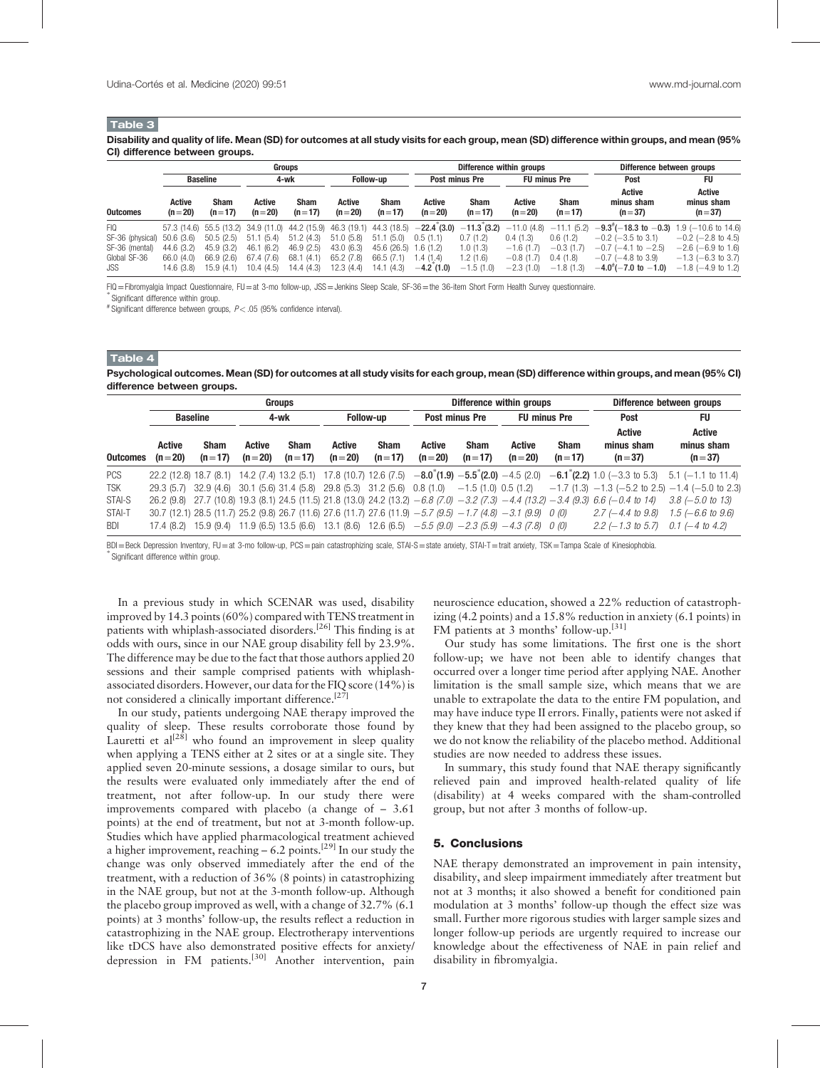# Table 3

Disability and quality of life. Mean (SD) for outcomes at all study visits for each group, mean (SD) difference within groups, and mean (95% CI) difference between groups.

|                  |                           |                                     |                    | Groups                              |                    |                  |                           | Difference within groups |                                           | Difference between groups |                                                            |                                  |  |
|------------------|---------------------------|-------------------------------------|--------------------|-------------------------------------|--------------------|------------------|---------------------------|--------------------------|-------------------------------------------|---------------------------|------------------------------------------------------------|----------------------------------|--|
| <b>Baseline</b>  |                           |                                     | 4-wk               |                                     | <b>Follow-up</b>   |                  | Post minus Pre            |                          | <b>FU minus Pre</b>                       |                           | Post                                                       | FU                               |  |
| <b>Outcomes</b>  | <b>Active</b><br>$(n=20)$ | <b>Sham</b><br>$(n=17)$             | Active<br>$(n=20)$ | Sham<br>$(n=17)$                    | Active<br>$(n=20)$ | Sham<br>$(n=17)$ | <b>Active</b><br>$(n=20)$ | <b>Sham</b><br>$(n=17)$  | Active<br>$(n=20)$                        | <b>Sham</b><br>$(n=17)$   | <b>Active</b><br>minus sham<br>$(n=37)$                    | Active<br>minus sham<br>$(n=37)$ |  |
| <b>FIQ</b>       |                           | 57.3 (14.6) 55.5 (13.2) 34.9 (11.0) |                    | 44.2 (15.9) 46.3 (19.1) 44.3 (18.5) |                    |                  | $-22.4(3.0)$              |                          | $-11.3$ (3.2) $-11.0$ (4.8) $-11.1$ (5.2) |                           | $-9.3^{\circ}(-18.3 \text{ to } -0.3)$ 1.9 (-10.6 to 14.6) |                                  |  |
| SF-36 (physical) | 50.6 (3.6)                | 50.5(2.5)                           | (5.4)<br>51.1      | 51.2(4.3)                           | 51.0(5.8)          | 51.1(5.0)        | 0.5(1.1)                  | 0.7(1.2)                 | 0.4(1.3)                                  | 0.6(1.2)                  | $-0.2$ ( $-3.5$ to 3.1)                                    | $-0.2$ ( $-2.8$ to 4.5)          |  |
| SF-36 (mental)   | 44.6 (3.2)                | 45.9 (3.2)                          | 46.1<br>(6.2)      | 46.9(2.5)                           | 43.0 (6.3)         | 45.6 (26.5)      | .6(1.2)                   | 1.0(1.3)                 | $-1.6(1.7)$                               | $-0.3(1.7)$               | $-0.7$ ( $-4.1$ to $-2.5$ )                                | $-2.6$ (-6.9 to 1.6)             |  |
| Global SF-36     | 66.0 (4.0)                | 66.9(2.6)                           | 67.4 (7.6)         | 68.1<br>(4.1)                       | 65.2(7.8)          | 66.5 (7.1)       | .4(1.4)                   | 1.2(1.6)                 | $-0.8(1.7)$                               | 0.4(1.8)                  | $-0.7$ ( $-4.8$ to 3.9)                                    | $-1.3$ (-6.3 to 3.7)             |  |
| JSS              | 14.6 (3.8)                | 15.9(4.1)                           | 10.4(4.5)          | 14.4 (4.3)                          | 12.3 (4.4)         | 14.1 (4.3)       | $-4.2(1.0)$               | $-1.5(1.0)$              | $-2.3(1.0)$                               | $-1.8(1.3)$               | $-4.0^{+}(-7.0 \text{ to } -1.0)$                          | $-1.8$ ( $-4.9$ to 1.2)          |  |

FIQ=Fibromyalgia Impact Questionnaire, FU=at 3-mo follow-up, JSS=Jenkins Sleep Scale, SF-36=the 36-item Short Form Health Survey questionnaire. <sup>∗</sup>

 $\degree$  Significant difference within group.

 $*$  Significant difference between groups,  $P < .05$  (95% confidence interval).

#### Table 4

Psychological outcomes. Mean (SD) for outcomes at all study visits for each group, mean (SD) difference within groups, and mean (95% CI) difference between groups.

|                 | Groups             |                                                                                                   |                    |                         |                    |                         |                           |                         | Difference within groups                                                                                            | Difference between groups |                                                                                                                                                      |                                                              |
|-----------------|--------------------|---------------------------------------------------------------------------------------------------|--------------------|-------------------------|--------------------|-------------------------|---------------------------|-------------------------|---------------------------------------------------------------------------------------------------------------------|---------------------------|------------------------------------------------------------------------------------------------------------------------------------------------------|--------------------------------------------------------------|
|                 | <b>Baseline</b>    |                                                                                                   | 4-wk               |                         | <b>Follow-up</b>   |                         | <b>Post minus Pre</b>     |                         | <b>FU minus Pre</b>                                                                                                 |                           | <b>Post</b>                                                                                                                                          | <b>FU</b>                                                    |
| <b>Outcomes</b> | Active<br>$(n=20)$ | <b>Sham</b><br>$(n=17)$                                                                           | Active<br>$(n=20)$ | <b>Sham</b><br>$(n=17)$ | Active<br>$(n=20)$ | <b>Sham</b><br>$(n=17)$ | <b>Active</b><br>$(n=20)$ | <b>Sham</b><br>$(n=17)$ | <b>Active</b><br>$(n=20)$                                                                                           | <b>Sham</b><br>$(n=17)$   | <b>Active</b><br>minus sham<br>$(n=37)$                                                                                                              | <b>Active</b><br>minus sham<br>$(n=37)$                      |
| <b>PCS</b>      |                    |                                                                                                   |                    |                         |                    |                         |                           |                         |                                                                                                                     |                           | 22.2 (12.8) 18.7 (8.1) 14.2 (7.4) 13.2 (5.1) 17.8 (10.7) 12.6 (7.5) -8.0 (1.9) -5.5 (2.0) -4.5 (2.0) -6.1 (2.2) 1.0 (-3.3 to 5.3) 5.1 (-1.1 to 11.4) |                                                              |
| <b>TSK</b>      |                    | $29.3(5.7)$ 32.9 (4.6) 30.1 (5.6) 31.4 (5.8) 29.8 (5.3) 31.2 (5.6) 0.8 (1.0) -1.5 (1.0) 0.5 (1.2) |                    |                         |                    |                         |                           |                         |                                                                                                                     |                           |                                                                                                                                                      | $-1.7$ (1.3) $-1.3$ ( $-5.2$ to 2.5) $-1.4$ ( $-5.0$ to 2.3) |
| STAI-S          |                    |                                                                                                   |                    |                         |                    |                         |                           |                         |                                                                                                                     |                           | 26.2 (9.8) 27.7 (10.8) 19.3 (8.1) 24.5 (11.5) 21.8 (13.0) 24.2 (13.2) $-6.8$ (7.0) $-3.2$ (7.3) $-4.4$ (13.2) $-3.4$ (9.3) 6.6 ( $-0.4$ to 14)       | $3.8$ (-5.0 to 13)                                           |
| STAI-T          |                    |                                                                                                   |                    |                         |                    |                         |                           |                         | 30.7 (12.1) 28.5 (11.7) 25.2 (9.8) 26.7 (11.6) 27.6 (11.7) 27.6 (11.9) $-5.7$ (9.5) $-1.7$ (4.8) $-3.1$ (9.9) 0 (0) |                           | $2.7$ (-4.4 to 9.8)                                                                                                                                  | $1.5$ (-6.6 to 9.6)                                          |
| <b>BDI</b>      |                    |                                                                                                   |                    |                         |                    |                         |                           |                         | 17.4 (8.2) 15.9 (9.4) 11.9 (6.5) 13.5 (6.6) 13.1 (8.6) 12.6 (6.5) $-5.5$ (9.0) $-2.3$ (5.9) $-4.3$ (7.8) 0 (0)      |                           | $2.2 \leftarrow 1.3$ to 5.7)                                                                                                                         | $0.1$ (-4 to 4.2)                                            |

BDI=Beck Depression Inventory, FU=at 3-mo follow-up, PCS=pain catastrophizing scale, STAI-S=state anxiety, STAI-T=trait anxiety, TSK=Tampa Scale of Kinesiophobia. Significant difference within group.

In a previous study in which SCENAR was used, disability improved by 14.3 points (60%) compared with TENS treatment in patients with whiplash-associated disorders.<sup>[26]</sup> This finding is at odds with ours, since in our NAE group disability fell by 23.9%. The difference may be due to the fact that those authors applied 20 sessions and their sample comprised patients with whiplashassociated disorders. However, our data for the FIQ score (14%) is not considered a clinically important difference.<sup>[27]</sup>

In our study, patients undergoing NAE therapy improved the quality of sleep. These results corroborate those found by Lauretti et al<sup>[28]</sup> who found an improvement in sleep quality when applying a TENS either at 2 sites or at a single site. They applied seven 20-minute sessions, a dosage similar to ours, but the results were evaluated only immediately after the end of treatment, not after follow-up. In our study there were improvements compared with placebo (a change of – 3.61 points) at the end of treatment, but not at 3-month follow-up. Studies which have applied pharmacological treatment achieved a higher improvement, reaching  $-6.2$  points.<sup>[29]</sup> In our study the change was only observed immediately after the end of the treatment, with a reduction of 36% (8 points) in catastrophizing in the NAE group, but not at the 3-month follow-up. Although the placebo group improved as well, with a change of 32.7% (6.1 points) at 3 months' follow-up, the results reflect a reduction in catastrophizing in the NAE group. Electrotherapy interventions like tDCS have also demonstrated positive effects for anxiety/ depression in FM patients.<sup>[30]</sup> Another intervention, pain

neuroscience education, showed a 22% reduction of catastrophizing (4.2 points) and a 15.8% reduction in anxiety (6.1 points) in FM patients at 3 months' follow-up.<sup>[31]</sup>

Our study has some limitations. The first one is the short follow-up; we have not been able to identify changes that occurred over a longer time period after applying NAE. Another limitation is the small sample size, which means that we are unable to extrapolate the data to the entire FM population, and may have induce type II errors. Finally, patients were not asked if they knew that they had been assigned to the placebo group, so we do not know the reliability of the placebo method. Additional studies are now needed to address these issues.

In summary, this study found that NAE therapy significantly relieved pain and improved health-related quality of life (disability) at 4 weeks compared with the sham-controlled group, but not after 3 months of follow-up.

# 5. Conclusions

NAE therapy demonstrated an improvement in pain intensity, disability, and sleep impairment immediately after treatment but not at 3 months; it also showed a benefit for conditioned pain modulation at 3 months' follow-up though the effect size was small. Further more rigorous studies with larger sample sizes and longer follow-up periods are urgently required to increase our knowledge about the effectiveness of NAE in pain relief and disability in fibromyalgia.